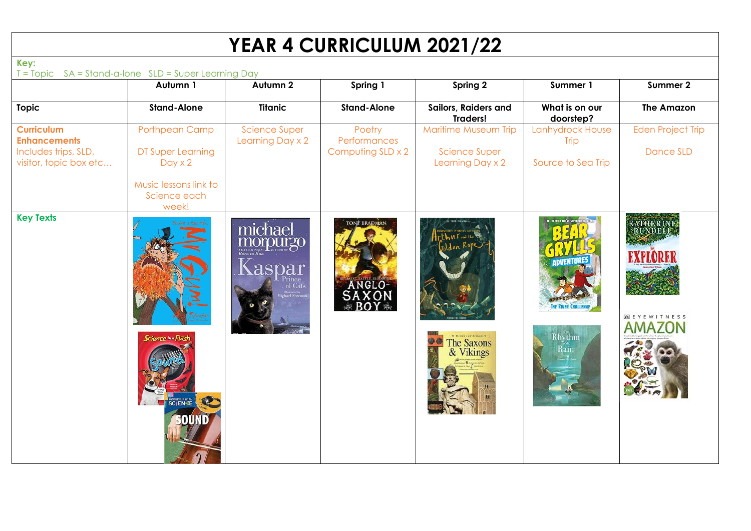## **YEAR 4 CURRICULUM 2021/22**

| T = Topic SA = Stand-a-Ione SLD = Super Learning Day                                       | Autumn 1                                                                                       | Autumn 2                                   | Spring 1                                            | Spring 2                                                         | Summer 1                                              | Summer 2                              |
|--------------------------------------------------------------------------------------------|------------------------------------------------------------------------------------------------|--------------------------------------------|-----------------------------------------------------|------------------------------------------------------------------|-------------------------------------------------------|---------------------------------------|
| <b>Topic</b>                                                                               | <b>Stand-Alone</b>                                                                             | <b>Titanic</b>                             | <b>Stand-Alone</b>                                  | Sailors, Raiders and<br><b>Traders!</b>                          | What is on our<br>doorstep?                           | <b>The Amazon</b>                     |
| <b>Curriculum</b><br><b>Enhancements</b><br>Includes trips, SLD,<br>visitor, topic box etc | Porthpean Camp<br>DT Super Learning<br>$Day \times 2$<br>Music lessons link to<br>Science each | <b>Science Super</b><br>Learning Day x 2   | Poetry<br>Performances<br>Computing SLD x 2         | Maritime Museum Trip<br><b>Science Super</b><br>Learning Day x 2 | Lanhydrock House<br><b>Trip</b><br>Source to Sea Trip | <b>Eden Project Trip</b><br>Dance SLD |
| <b>Key Texts</b>                                                                           | week!<br><b>Science in a Flast</b>                                                             | michael<br>aspar<br>of Cats<br>ichael Fore | <b><i>TONN BRADMAN</i></b><br>ANGLO-<br>SAXON<br>SĂ | * History of Britain *<br>The Saxons<br>& Vikings                | Rhythm<br>Rain                                        | <b>DE EYEWITNESS</b><br><b>AMAZON</b> |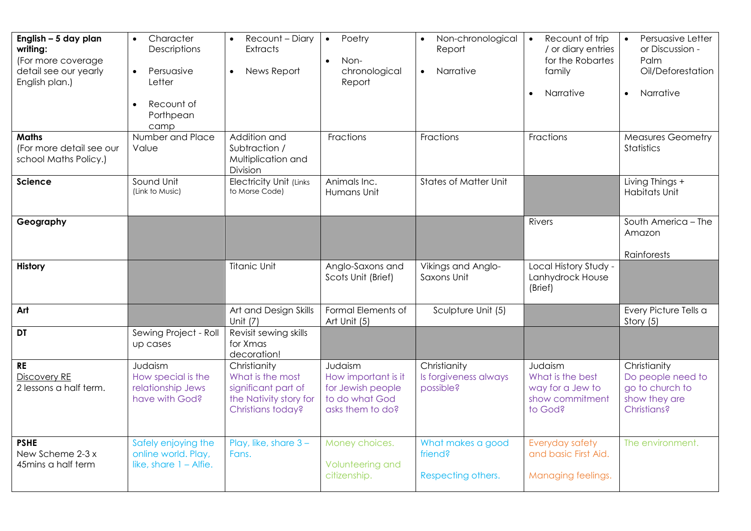| English - 5 day plan<br>writing:<br>(For more coverage<br>detail see our yearly<br>English plan.) | Character<br>$\bullet$<br>Descriptions<br>Persuasive<br>$\bullet$<br>Letter<br>Recount of<br>Porthpean<br>camp | Recount - Diary<br>$\bullet$<br><b>Extracts</b><br>News Report<br>$\bullet$                            | Poetry<br>$\bullet$<br>Non-<br>$\bullet$<br>chronological<br>Report                       | Non-chronological<br>Report<br><b>Narrative</b><br>$\bullet$ | Recount of trip<br>$\bullet$<br>/ or diary entries<br>for the Robartes<br>family<br>Narrative | Persuasive Letter<br>$\bullet$<br>or Discussion -<br>Palm<br>Oil/Deforestation<br>Narrative |
|---------------------------------------------------------------------------------------------------|----------------------------------------------------------------------------------------------------------------|--------------------------------------------------------------------------------------------------------|-------------------------------------------------------------------------------------------|--------------------------------------------------------------|-----------------------------------------------------------------------------------------------|---------------------------------------------------------------------------------------------|
| <b>Maths</b><br>(For more detail see our<br>school Maths Policy.)                                 | Number and Place<br>Value                                                                                      | Addition and<br>Subtraction /<br>Multiplication and<br>Division                                        | Fractions                                                                                 | Fractions                                                    | Fractions                                                                                     | <b>Measures Geometry</b><br><b>Statistics</b>                                               |
| Science                                                                                           | Sound Unit<br>(Link to Music)                                                                                  | <b>Electricity Unit (Links</b><br>to Morse Code)                                                       | Animals Inc.<br>Humans Unit                                                               | <b>States of Matter Unit</b>                                 |                                                                                               | Living Things +<br><b>Habitats Unit</b>                                                     |
| Geography                                                                                         |                                                                                                                |                                                                                                        |                                                                                           |                                                              | Rivers                                                                                        | South America - The<br>Amazon<br>Rainforests                                                |
| <b>History</b>                                                                                    |                                                                                                                | <b>Titanic Unit</b>                                                                                    | Anglo-Saxons and<br>Scots Unit (Brief)                                                    | Vikings and Anglo-<br>Saxons Unit                            | Local History Study -<br>Lanhydrock House<br>(Brief)                                          |                                                                                             |
| Art                                                                                               |                                                                                                                | Art and Design Skills<br>Unit (7)                                                                      | Formal Elements of<br>Art Unit (5)                                                        | Sculpture Unit (5)                                           |                                                                                               | Every Picture Tells a<br>Story (5)                                                          |
| DT                                                                                                | Sewing Project - Roll<br>up cases                                                                              | Revisit sewing skills<br>for Xmas<br>decoration!                                                       |                                                                                           |                                                              |                                                                                               |                                                                                             |
| <b>RE</b><br><b>Discovery RE</b><br>2 lessons a half term.                                        | Judaism<br>How special is the<br>relationship Jews<br>have with God?                                           | Christianity<br>What is the most<br>significant part of<br>the Nativity story for<br>Christians today? | Judaism<br>How important is it<br>for Jewish people<br>to do what God<br>asks them to do? | Christianity<br>Is forgiveness always<br>possible?           | Judaism<br>What is the best<br>way for a Jew to<br>show commitment<br>to God?                 | Christianity<br>Do people need to<br>go to church to<br>show they are<br><b>Christians?</b> |
| <b>PSHE</b><br>New Scheme 2-3 x<br>45mins a half term                                             | Safely enjoying the<br>online world. Play,<br>like, share $1 -$ Alfie.                                         | Play, like, share $3 -$<br>Fans.                                                                       | Money choices.<br>Volunteering and<br>citizenship.                                        | What makes a good<br>friend?<br>Respecting others.           | Everyday safety<br>and basic First Aid.<br>Managing feelings.                                 | The environment.                                                                            |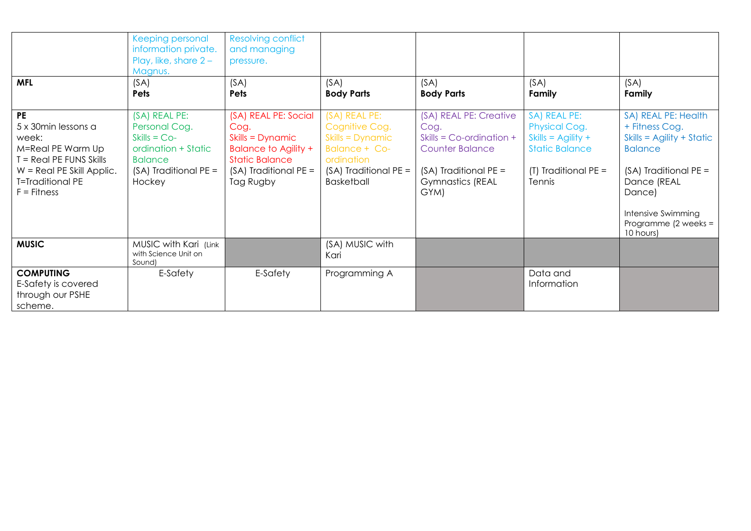|                                                                                                                                                                       | <b>Keeping personal</b><br>information private.<br>Play, like, share $2 -$<br>Magnus.                                                 | <b>Resolving conflict</b><br>and managing<br>pressure.                                                                                           |                                                                                                                                         |                                                                                                                                                       |                                                                                                                          |                                                                                                                                                                                                          |
|-----------------------------------------------------------------------------------------------------------------------------------------------------------------------|---------------------------------------------------------------------------------------------------------------------------------------|--------------------------------------------------------------------------------------------------------------------------------------------------|-----------------------------------------------------------------------------------------------------------------------------------------|-------------------------------------------------------------------------------------------------------------------------------------------------------|--------------------------------------------------------------------------------------------------------------------------|----------------------------------------------------------------------------------------------------------------------------------------------------------------------------------------------------------|
| <b>MFL</b>                                                                                                                                                            | (SA)<br>Pets                                                                                                                          | (SA)<br><b>Pets</b>                                                                                                                              | (SA)<br><b>Body Parts</b>                                                                                                               | (SA)<br><b>Body Parts</b>                                                                                                                             | (SA)<br>Family                                                                                                           | (SA)<br>Family                                                                                                                                                                                           |
| <b>PE</b><br>5 x 30 min lessons a<br>week:<br>M=Real PE Warm Up<br>T = Real PE FUNS Skills<br>$W = Real PE$ Skill Applic.<br><b>T=Traditional PE</b><br>$F =$ Fitness | (SA) REAL PE:<br>Personal Cog.<br>$Skills = Co-$<br>ordination + Static<br><b>Balance</b><br>$(SA)$ Traditional PE =<br><b>Hockey</b> | (SA) REAL PE: Social<br>Cog.<br>Skills = Dynamic<br><b>Balance to Agility +</b><br><b>Static Balance</b><br>$(SA)$ Traditional PE =<br>Tag Rugby | (SA) REAL PE:<br>Cognitive Cog.<br>Skills = Dynamic<br><b>Balance + Co-</b><br>ordination<br>(SA) Traditional PE =<br><b>Basketball</b> | (SA) REAL PE: Creative<br>Cog.<br>Skills = $Co$ -ordination +<br><b>Counter Balance</b><br>$(SA)$ Traditional PE =<br><b>Gymnastics (REAL</b><br>GYM) | SA) REAL PE:<br>Physical Cog.<br>Skills = $\Delta$ gility +<br><b>Static Balance</b><br>$(T)$ Traditional PE =<br>Tennis | SA) REAL PE: Health<br>+ Fitness Cog.<br>$Skills = Agility + Static$<br><b>Balance</b><br>$(SA)$ Traditional PE =<br>Dance (REAL<br>Dance)<br>Intensive Swimming<br>Programme ( $2$ weeks =<br>10 hours) |
| <b>MUSIC</b>                                                                                                                                                          | MUSIC with Kari (Link<br>with Science Unit on<br>Sound)                                                                               |                                                                                                                                                  | (SA) MUSIC with<br>Kari                                                                                                                 |                                                                                                                                                       |                                                                                                                          |                                                                                                                                                                                                          |
| <b>COMPUTING</b><br>E-Safety is covered<br>through our PSHE<br>scheme.                                                                                                | E-Safety                                                                                                                              | E-Safety                                                                                                                                         | Programming A                                                                                                                           |                                                                                                                                                       | Data and<br>Information                                                                                                  |                                                                                                                                                                                                          |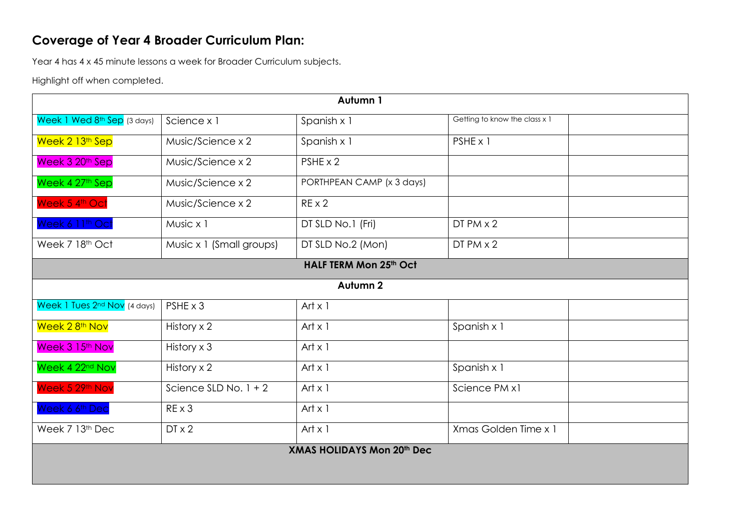## **Coverage of Year 4 Broader Curriculum Plan:**

Year 4 has 4 x 45 minute lessons a week for Broader Curriculum subjects.

Highlight off when completed.

| Autumn 1                          |                          |                           |                               |  |  |  |  |  |
|-----------------------------------|--------------------------|---------------------------|-------------------------------|--|--|--|--|--|
| Week 1 Wed 8th Sep (3 days)       | Science x 1              | Spanish x 1               | Getting to know the class x 1 |  |  |  |  |  |
| Week 2 <sup>13th</sup> Sep        | Music/Science x 2        | Spanish x 1               | PSHE x 1                      |  |  |  |  |  |
| Week 3 20 <sup>th</sup> Sep       | Music/Science x 2        | PSHE x 2                  |                               |  |  |  |  |  |
| Week 4 27th Sep                   | Music/Science x 2        | PORTHPEAN CAMP (x 3 days) |                               |  |  |  |  |  |
| Week 5 4th Oct                    | Music/Science x 2        | $RE \times 2$             |                               |  |  |  |  |  |
| Week 6 11th Oct                   | Music x 1                | DT SLD No.1 (Fri)         | $DTPM \times 2$               |  |  |  |  |  |
| Week 7 18th Oct                   | Music x 1 (Small groups) | DT SLD No.2 (Mon)         | $DTPM \times 2$               |  |  |  |  |  |
|                                   |                          | HALF TERM Mon 25th Oct    |                               |  |  |  |  |  |
|                                   |                          | Autumn <sub>2</sub>       |                               |  |  |  |  |  |
| Week 1 Tues 2nd Nov (4 days)      | $PSHE \times 3$          | Art $x$ 1                 |                               |  |  |  |  |  |
| Week 28 <sup>th</sup> Nov         | History x 2              | Art $x$ 1                 | Spanish x 1                   |  |  |  |  |  |
| Week 3 15 <sup>th</sup> Nov       | History x 3              | Art $x$ 1                 |                               |  |  |  |  |  |
| Week 4 22 <sup>nd</sup> Nov       | History $\times$ 2       | Art $x$ 1                 | Spanish x 1                   |  |  |  |  |  |
| Week 5 29th Nov                   | Science SLD No. $1 + 2$  | Art $x$ 1                 | Science PM x1                 |  |  |  |  |  |
| Week 6 6 <sup>th</sup> Dec        | $RE \times 3$            | Art $x$ 1                 |                               |  |  |  |  |  |
| Week 7 13th Dec                   | $DT \times 2$            | Art $x$ 1                 | Xmas Golden Time x 1          |  |  |  |  |  |
| <b>XMAS HOLIDAYS Mon 20th Dec</b> |                          |                           |                               |  |  |  |  |  |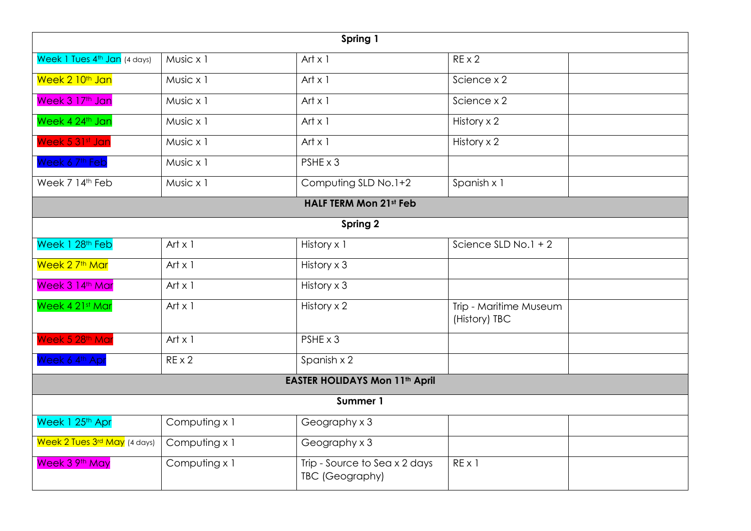| Spring 1                                 |                               |                                                  |                                         |  |  |  |  |  |  |  |
|------------------------------------------|-------------------------------|--------------------------------------------------|-----------------------------------------|--|--|--|--|--|--|--|
| Week 1 Tues 4 <sup>th</sup> Jan (4 days) | Music x 1                     | Art $x$ 1                                        | $RE \times 2$                           |  |  |  |  |  |  |  |
| Week 2 10 <sup>th</sup> Jan              | Music x 1                     | Art $x$ 1                                        | Science x 2                             |  |  |  |  |  |  |  |
| Week 3 17th Jan                          | Music x 1                     | Art $x$ 1                                        | Science x 2                             |  |  |  |  |  |  |  |
| Week 4 24th Jan                          | Music x 1                     | Art $x$ 1                                        | History x 2                             |  |  |  |  |  |  |  |
| Week 5 31st Jan                          | Music x 1                     | Art $x$ 1                                        | History $\times 2$                      |  |  |  |  |  |  |  |
| Week 6 7th Feb                           | Music x 1                     | PSHE x 3                                         |                                         |  |  |  |  |  |  |  |
| Week 7 14th Feb                          | Music x 1                     | Computing SLD No.1+2                             | Spanish x 1                             |  |  |  |  |  |  |  |
|                                          | <b>HALF TERM Mon 21st Feb</b> |                                                  |                                         |  |  |  |  |  |  |  |
| Spring 2                                 |                               |                                                  |                                         |  |  |  |  |  |  |  |
| Week 1 28 <sup>th</sup> Feb              | Art $x$ 1                     | History x 1                                      | Science SLD No.1 + 2                    |  |  |  |  |  |  |  |
| Week 2 7 <sup>th</sup> Mar               | Art $x$ 1                     | History x 3                                      |                                         |  |  |  |  |  |  |  |
| Week 3 14th Mar                          | Art $x$ 1                     | History x 3                                      |                                         |  |  |  |  |  |  |  |
| Week 4 21st Mar                          | Art $x$ 1                     | History x 2                                      | Trip - Maritime Museum<br>(History) TBC |  |  |  |  |  |  |  |
| Week 5 28th Mar                          | Art $x$ 1                     | PSHE x 3                                         |                                         |  |  |  |  |  |  |  |
| Week 6 4th Apr                           | $RE \times 2$                 | Spanish x 2                                      |                                         |  |  |  |  |  |  |  |
| <b>EASTER HOLIDAYS Mon 11th April</b>    |                               |                                                  |                                         |  |  |  |  |  |  |  |
| Summer 1                                 |                               |                                                  |                                         |  |  |  |  |  |  |  |
| Week 1 25 <sup>th</sup> Apr              | Computing x 1                 | Geography x 3                                    |                                         |  |  |  |  |  |  |  |
| Week 2 Tues 3rd May (4 days)             | Computing x 1                 | Geography x 3                                    |                                         |  |  |  |  |  |  |  |
| Week 3 9th May                           | Computing x 1                 | Trip - Source to Sea x 2 days<br>TBC (Geography) | REX1                                    |  |  |  |  |  |  |  |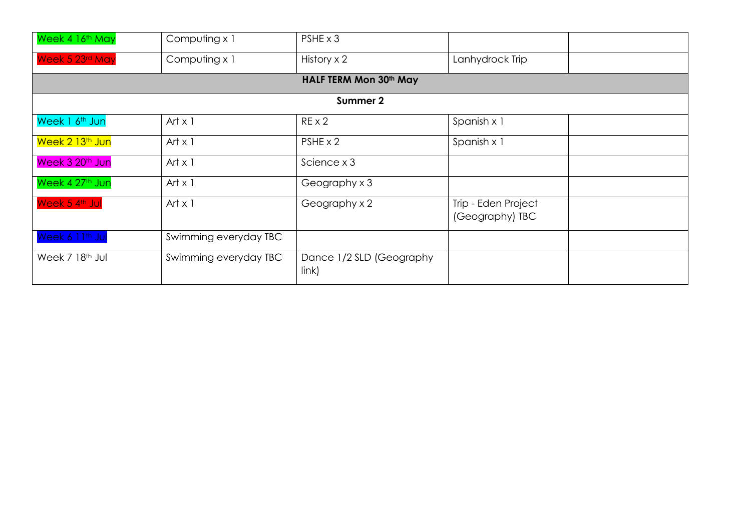| Week 4 16 <sup>th</sup> May | Computing x 1         | $PSHE \times 3$                   |                                        |  |  |  |  |  |  |  |
|-----------------------------|-----------------------|-----------------------------------|----------------------------------------|--|--|--|--|--|--|--|
| Week 5 23rd May             | Computing x 1         | History x 2                       | Lanhydrock Trip                        |  |  |  |  |  |  |  |
| HALF TERM Mon 30th May      |                       |                                   |                                        |  |  |  |  |  |  |  |
|                             |                       | Summer 2                          |                                        |  |  |  |  |  |  |  |
| Week 1 6 <sup>th</sup> Jun  | Art $\times$ 1        | $RE \times 2$                     | Spanish x 1                            |  |  |  |  |  |  |  |
| Week 2 13 <sup>th</sup> Jun | Art $x$ 1             | $PSHE \times 2$                   | Spanish x 1                            |  |  |  |  |  |  |  |
| Week 3 20 <sup>th</sup> Jun | Art $x$ 1             | Science x 3                       |                                        |  |  |  |  |  |  |  |
| Week 4 27th Jun             | Art $x$ 1             | Geography x 3                     |                                        |  |  |  |  |  |  |  |
| Week 5 4th Jul              | Art $x$ 1             | Geography x 2                     | Trip - Eden Project<br>(Geography) TBC |  |  |  |  |  |  |  |
| Week 6 11 <sup>th</sup> Jul | Swimming everyday TBC |                                   |                                        |  |  |  |  |  |  |  |
| Week 7 18 <sup>th</sup> Jul | Swimming everyday TBC | Dance 1/2 SLD (Geography<br>link) |                                        |  |  |  |  |  |  |  |